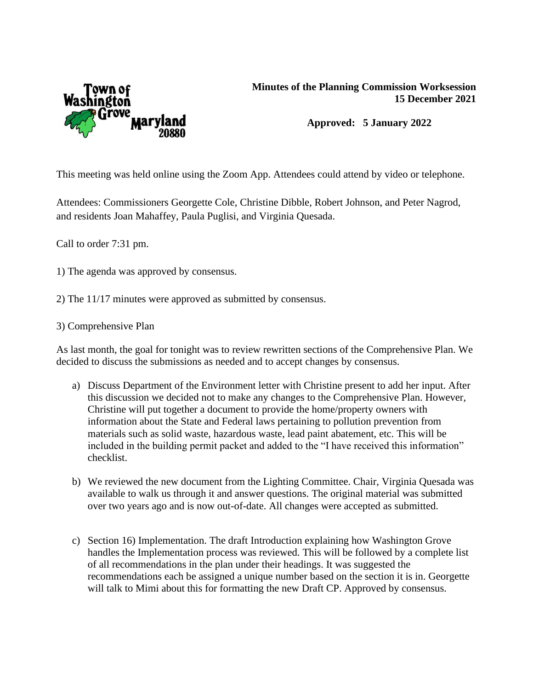

## **Minutes of the Planning Commission Worksession 15 December 2021**

**Approved: 5 January 2022**

This meeting was held online using the Zoom App. Attendees could attend by video or telephone.

Attendees: Commissioners Georgette Cole, Christine Dibble, Robert Johnson, and Peter Nagrod, and residents Joan Mahaffey, Paula Puglisi, and Virginia Quesada.

Call to order 7:31 pm.

- 1) The agenda was approved by consensus.
- 2) The 11/17 minutes were approved as submitted by consensus.

## 3) Comprehensive Plan

As last month, the goal for tonight was to review rewritten sections of the Comprehensive Plan. We decided to discuss the submissions as needed and to accept changes by consensus.

- a) Discuss Department of the Environment letter with Christine present to add her input. After this discussion we decided not to make any changes to the Comprehensive Plan. However, Christine will put together a document to provide the home/property owners with information about the State and Federal laws pertaining to pollution prevention from materials such as solid waste, hazardous waste, lead paint abatement, etc. This will be included in the building permit packet and added to the "I have received this information" checklist.
- b) We reviewed the new document from the Lighting Committee. Chair, Virginia Quesada was available to walk us through it and answer questions. The original material was submitted over two years ago and is now out-of-date. All changes were accepted as submitted.
- c) Section 16) Implementation. The draft Introduction explaining how Washington Grove handles the Implementation process was reviewed. This will be followed by a complete list of all recommendations in the plan under their headings. It was suggested the recommendations each be assigned a unique number based on the section it is in. Georgette will talk to Mimi about this for formatting the new Draft CP. Approved by consensus.